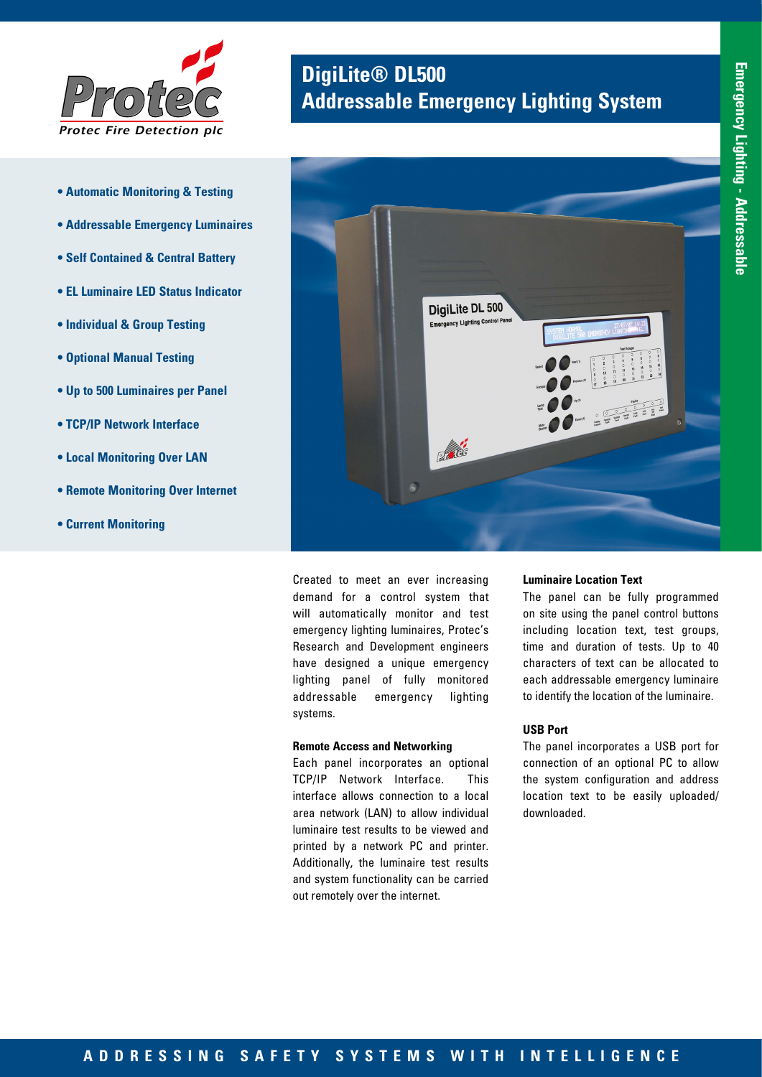

- **Automatic Monitoring & Testing**
- **Addressable Emergency Luminaires**
- **Self Contained & Central Battery**
- **EL Luminaire LED Status Indicator**
- **Individual & Group Testing**
- **Optional Manual Testing**
- **Up to 500 Luminaires per Panel**
- **TCP/IP Network Interface**
- **Local Monitoring Over LAN**
- **Remote Monitoring Over Internet**
- **Current Monitoring**

# **DigiLite® DL500**<br>**Addressable Emergency Lighting System**



Created to meet an ever increasing demand for a control system that will automatically monitor and test emergency lighting luminaires, Protec's Research and Development engineers have designed a unique emergency lighting panel of fully monitored addressable emergency lighting systems.

### **Remote Access and Networking**

Each panel incorporates an optional TCP/IP Network Interface. This interface allows connection to a local area network (LAN) to allow individual luminaire test results to be viewed and printed by a network PC and printer. Additionally, the luminaire test results and system functionality can be carried out remotely over the internet.

#### **Luminaire Location Text**

The panel can be fully programmed on site using the panel control buttons including location text, test groups, time and duration of tests. Up to 40 characters of text can be allocated to each addressable emergency luminaire to identify the location of the luminaire.

### **USB Port**

The panel incorporates a USB port for connection of an optional PC to allow the system configuration and address location text to be easily uploaded/ downloaded.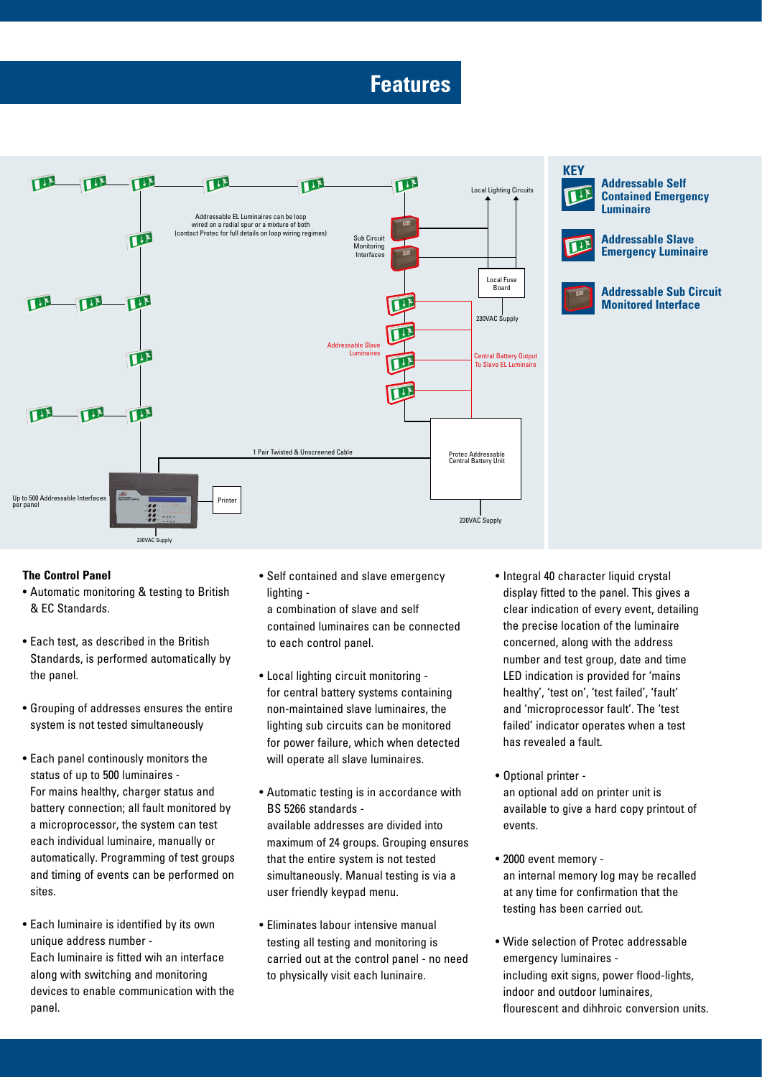## **Features**



## **KEY**

**Addressable Self Contained Emergency Luminaire**



**Addressable Slave Emergency Luminaire**



**Addressable Sub Circuit Monitored Interface**

## **The Control Panel**

- Automatic monitoring & testing to British & EC Standards.
- Each test, as described in the British Standards, is performed automatically by the panel.
- Grouping of addresses ensures the entire system is not tested simultaneously
- Each panel continously monitors the status of up to 500 luminaires - For mains healthy, charger status and battery connection; all fault monitored by a microprocessor, the system can test each individual luminaire, manually or automatically. Programming of test groups and timing of events can be performed on sites.
- Each luminaire is identified by its own unique address number - Each luminaire is fitted wih an interface along with switching and monitoring devices to enable communication with the panel.

• Self contained and slave emergency lighting -

a combination of slave and self contained luminaires can be connected to each control panel.

- Local lighting circuit monitoring for central battery systems containing non-maintained slave luminaires, the lighting sub circuits can be monitored for power failure, which when detected will operate all slave luminaires.
- Automatic testing is in accordance with BS 5266 standards available addresses are divided into maximum of 24 groups. Grouping ensures that the entire system is not tested simultaneously. Manual testing is via a user friendly keypad menu.
- Eliminates labour intensive manual testing all testing and monitoring is carried out at the control panel - no need to physically visit each luninaire.
- Integral 40 character liquid crystal display fitted to the panel. This gives a clear indication of every event, detailing the precise location of the luminaire concerned, along with the address number and test group, date and time LED indication is provided for 'mains healthy', 'test on', 'test failed', 'fault' and 'microprocessor fault'. The 'test failed' indicator operates when a test has revealed a fault.
- Optional printer an optional add on printer unit is available to give a hard copy printout of events.
- 2000 event memory an internal memory log may be recalled at any time for confirmation that the testing has been carried out.
- Wide selection of Protec addressable emergency luminaires including exit signs, power flood-lights, indoor and outdoor luminaires, flourescent and dihhroic conversion units.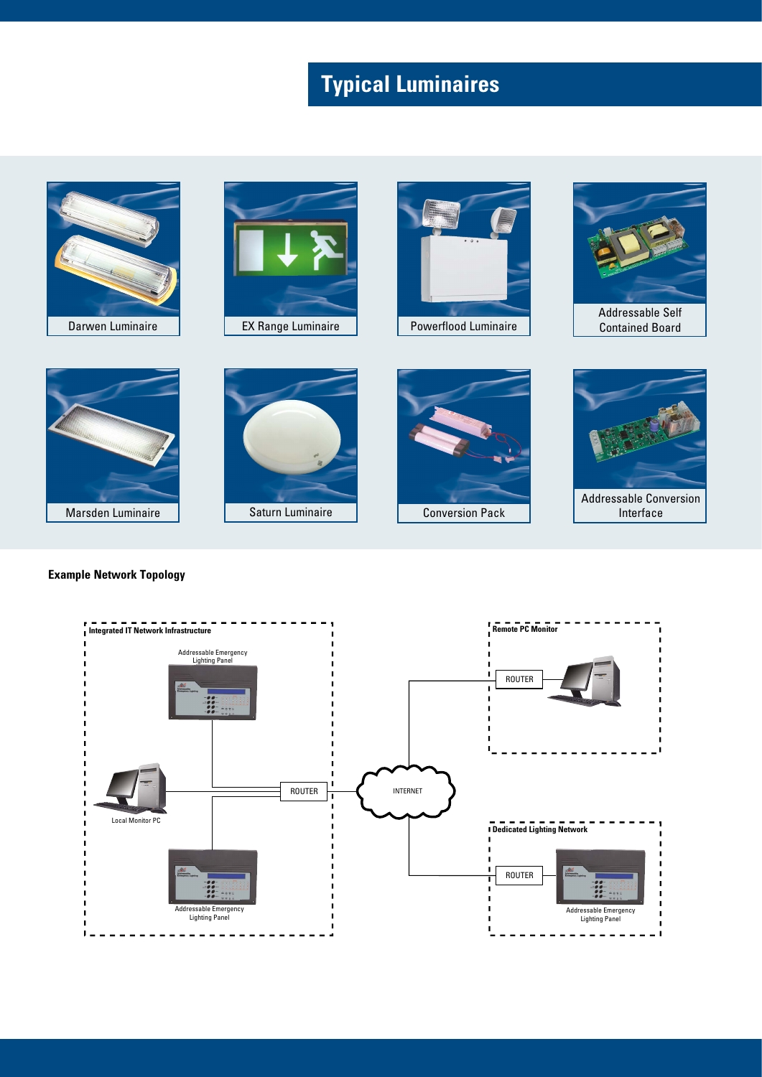# **Typical Luminaires**







Powerflood Luminaire



Contained Board



## **Example Network Topology**





Conversion Pack



Addressable Conversion Interface